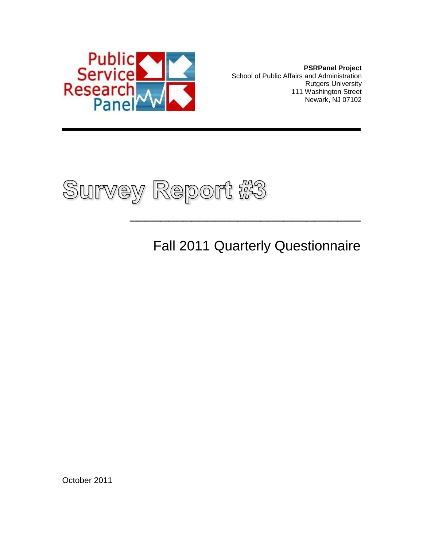

**PSRPanel Project** School of Public Affairs and Administration Rutgers University 111 Washington Street Newark, NJ 07102



Fall 2011 Quarterly Questionnaire

 $\frac{1}{2}$  , and the set of the set of the set of the set of the set of the set of the set of the set of the set of the set of the set of the set of the set of the set of the set of the set of the set of the set of the set

October 2011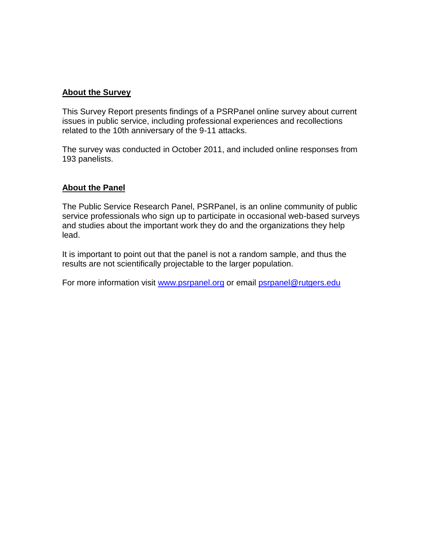#### **About the Survey**

This Survey Report presents findings of a PSRPanel online survey about current issues in public service, including professional experiences and recollections related to the 10th anniversary of the 9-11 attacks.

The survey was conducted in October 2011, and included online responses from 193 panelists.

#### **About the Panel**

The Public Service Research Panel, PSRPanel, is an online community of public service professionals who sign up to participate in occasional web-based surveys and studies about the important work they do and the organizations they help lead.

It is important to point out that the panel is not a random sample, and thus the results are not scientifically projectable to the larger population.

For more information visit [www.psrpanel.org](http://www.psrpanel.org/) or email [psrpanel@rutgers.edu](mailto:psrpanel@rutgers.edu)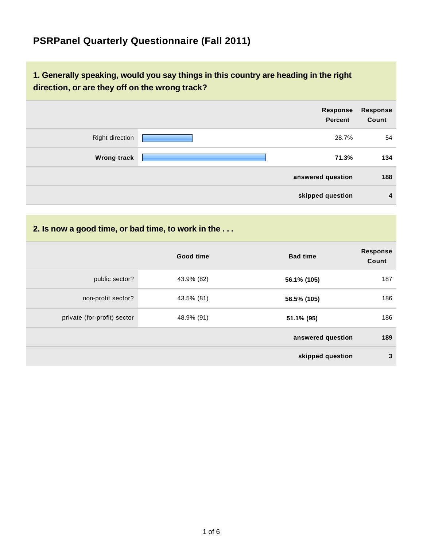## **PSRPanel Quarterly Questionnaire (Fall 2011)**

### **1. Generally speaking, would you say things in this country are heading in the right direction, or are they off on the wrong track?**

|                    | Response<br><b>Percent</b> | Response<br>Count |
|--------------------|----------------------------|-------------------|
| Right direction    | 28.7%                      | 54                |
| <b>Wrong track</b> | 71.3%                      | 134               |
|                    | answered question          | 188               |
|                    | skipped question           | $\overline{4}$    |

#### **2. Is now a good time, or bad time, to work in the . . .**

|                             | Good time  | <b>Bad time</b>   | <b>Response</b><br>Count |
|-----------------------------|------------|-------------------|--------------------------|
| public sector?              | 43.9% (82) | 56.1% (105)       | 187                      |
| non-profit sector?          | 43.5% (81) | 56.5% (105)       | 186                      |
| private (for-profit) sector | 48.9% (91) | 51.1% (95)        | 186                      |
|                             |            | answered question | 189                      |
|                             |            | skipped question  | 3                        |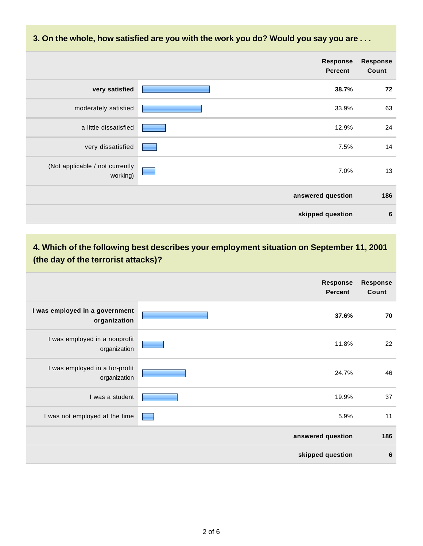**3. On the whole, how satisfied are you with the work you do? Would you say you are . . .**

|                                             | <b>Response</b><br><b>Percent</b> | <b>Response</b><br>Count |
|---------------------------------------------|-----------------------------------|--------------------------|
| very satisfied                              | 38.7%                             | 72                       |
| moderately satisfied                        | 33.9%                             | 63                       |
| a little dissatisfied                       | 12.9%                             | 24                       |
| very dissatisfied                           | 7.5%                              | 14                       |
| (Not applicable / not currently<br>working) | 7.0%                              | 13                       |
|                                             | answered question                 | 186                      |
|                                             | skipped question                  | $6\phantom{1}6$          |

**4. Which of the following best describes your employment situation on September 11, 2001 (the day of the terrorist attacks)?**

|                                                | <b>Response</b><br><b>Percent</b> | <b>Response</b><br>Count |
|------------------------------------------------|-----------------------------------|--------------------------|
| I was employed in a government<br>organization | 37.6%                             | 70                       |
| I was employed in a nonprofit<br>organization  | 11.8%                             | 22                       |
| I was employed in a for-profit<br>organization | 24.7%                             | 46                       |
| I was a student                                | 19.9%                             | 37                       |
| I was not employed at the time                 | 5.9%                              | 11                       |
|                                                | answered question                 | 186                      |
|                                                | skipped question                  | 6                        |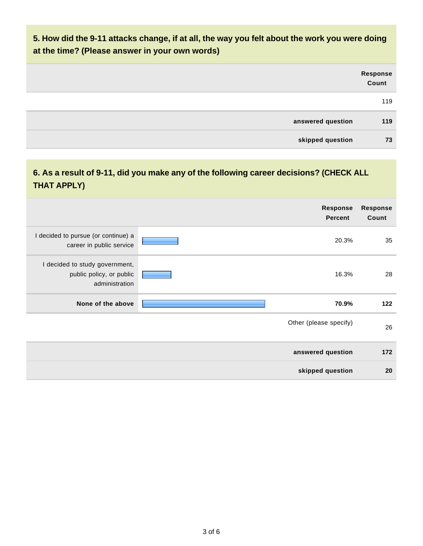### **5. How did the 9-11 attacks change, if at all, the way you felt about the work you were doing at the time? (Please answer in your own words)**

|                   | Response<br>Count |
|-------------------|-------------------|
|                   | 119               |
| answered question | 119               |
| skipped question  | 73                |

### **6. As a result of 9-11, did you make any of the following career decisions? (CHECK ALL THAT APPLY)**

|                                                                              | <b>Response</b><br><b>Percent</b> | <b>Response</b><br>Count |
|------------------------------------------------------------------------------|-----------------------------------|--------------------------|
| I decided to pursue (or continue) a<br>career in public service              | 20.3%                             | 35                       |
| I decided to study government,<br>public policy, or public<br>administration | 16.3%                             | 28                       |
| None of the above                                                            | 70.9%                             | 122                      |
|                                                                              | Other (please specify)            | 26                       |
|                                                                              | answered question                 | 172                      |
|                                                                              | skipped question                  | 20                       |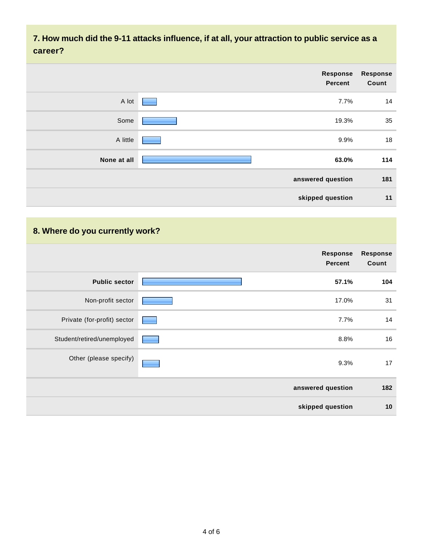**7. How much did the 9-11 attacks influence, if at all, your attraction to public service as a career?**

|             | <b>Response</b><br><b>Percent</b> | <b>Response</b><br>Count |
|-------------|-----------------------------------|--------------------------|
| A lot       | 7.7%                              | 14                       |
| Some        | 19.3%                             | 35                       |
| A little    | 9.9%                              | 18                       |
| None at all | 63.0%                             | 114                      |
|             | answered question                 | 181                      |
|             | skipped question                  | 11                       |

### **8. Where do you currently work?**

|                             | <b>Response</b><br><b>Percent</b> | <b>Response</b><br>Count |
|-----------------------------|-----------------------------------|--------------------------|
| <b>Public sector</b>        | 57.1%                             | 104                      |
| Non-profit sector           | 17.0%                             | 31                       |
| Private (for-profit) sector | 7.7%                              | 14                       |
| Student/retired/unemployed  | 8.8%                              | 16                       |
| Other (please specify)      | 9.3%                              | 17                       |
|                             | answered question                 | 182                      |
|                             | skipped question                  | 10                       |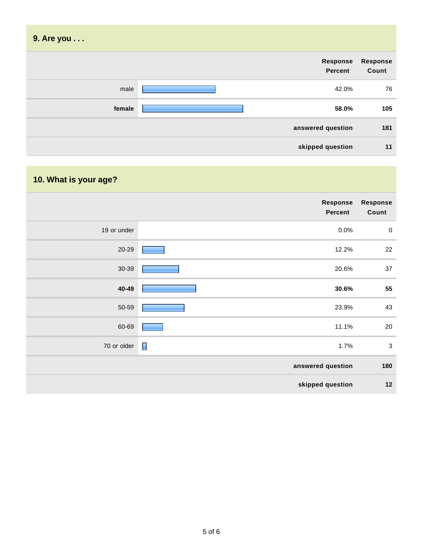| 9. Are you |                            |                          |
|------------|----------------------------|--------------------------|
|            | <b>Response</b><br>Percent | <b>Response</b><br>Count |
| male       | 42.0%                      | 76                       |
| female     | 58.0%                      | 105                      |
|            | answered question          | 181                      |
|            | skipped question           | 11                       |

# **10. What is your age?**

|             | Response<br><b>Percent</b> | Response<br>Count |
|-------------|----------------------------|-------------------|
| 19 or under | 0.0%                       | $\pmb{0}$         |
| 20-29       | 12.2%                      | 22                |
| 30-39       | 20.6%                      | 37                |
| 40-49       | 30.6%                      | 55                |
| 50-59       | 23.9%                      | 43                |
| 60-69       | 11.1%                      | 20                |
| 70 or older | $\blacksquare$<br>1.7%     | $\sqrt{3}$        |
|             | answered question          | 180               |
|             | skipped question           | 12                |